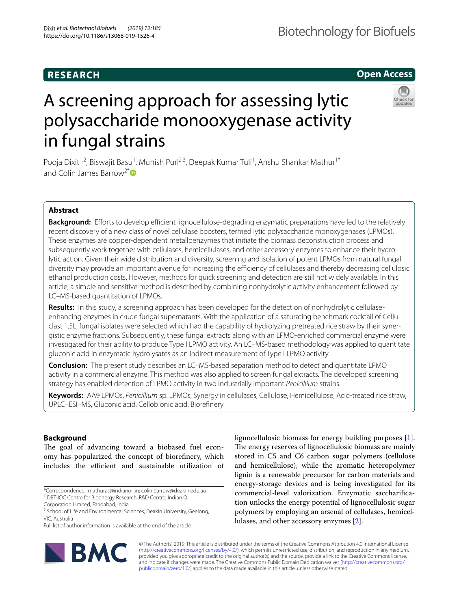# **RESEARCH**

# **Open Access**



# A screening approach for assessing lytic polysaccharide monooxygenase activity in fungal strains

Pooja Dixit<sup>1,2</sup>, Biswajit Basu<sup>1</sup>, Munish Puri<sup>2,3</sup>, Deepak Kumar Tuli<sup>1</sup>, Anshu Shankar Mathur<sup>1\*</sup> and Colin James Barrow<sup>2[\\*](http://orcid.org/0000-0002-2153-7267)</sup>

## **Abstract**

**Background:** Efforts to develop efficient lignocellulose-degrading enzymatic preparations have led to the relatively recent discovery of a new class of novel cellulase boosters, termed lytic polysaccharide monoxygenases (LPMOs). These enzymes are copper-dependent metalloenzymes that initiate the biomass deconstruction process and subsequently work together with cellulases, hemicellulases, and other accessory enzymes to enhance their hydrolytic action. Given their wide distribution and diversity, screening and isolation of potent LPMOs from natural fungal diversity may provide an important avenue for increasing the efficiency of cellulases and thereby decreasing cellulosic ethanol production costs. However, methods for quick screening and detection are still not widely available. In this article, a simple and sensitive method is described by combining nonhydrolytic activity enhancement followed by LC–MS-based quantitation of LPMOs.

**Results:** In this study, a screening approach has been developed for the detection of nonhydrolytic cellulaseenhancing enzymes in crude fungal supernatants. With the application of a saturating benchmark cocktail of Celluclast 1.5L, fungal isolates were selected which had the capability of hydrolyzing pretreated rice straw by their synergistic enzyme fractions. Subsequently, these fungal extracts along with an LPMO-enriched commercial enzyme were investigated for their ability to produce Type I LPMO activity. An LC–MS-based methodology was applied to quantitate gluconic acid in enzymatic hydrolysates as an indirect measurement of Type I LPMO activity.

**Conclusion:** The present study describes an LC–MS-based separation method to detect and quantitate LPMO activity in a commercial enzyme. This method was also applied to screen fungal extracts. The developed screening strategy has enabled detection of LPMO activity in two industrially important *Penicillium* strains.

**Keywords:** AA9 LPMOs, *Penicillium* sp. LPMOs, Synergy in cellulases, Cellulose, Hemicellulose, Acid-treated rice straw, UPLC–ESI–MS, Gluconic acid, Cellobionic acid, Biorefnery

## **Background**

The goal of advancing toward a biobased fuel economy has popularized the concept of biorefnery, which includes the efficient and sustainable utilization of

Full list of author information is available at the end of the article



lignocellulosic biomass for energy building purposes [\[1](#page-15-0)]. The energy reserves of lignocellulosic biomass are mainly stored in C5 and C6 carbon sugar polymers (cellulose and hemicellulose), while the aromatic heteropolymer lignin is a renewable precursor for carbon materials and energy-storage devices and is being investigated for its commercial-level valorization. Enzymatic saccharifcation unlocks the energy potential of lignocellulosic sugar polymers by employing an arsenal of cellulases, hemicellulases, and other accessory enzymes [[2\]](#page-15-1).

© The Author(s) 2019. This article is distributed under the terms of the Creative Commons Attribution 4.0 International License [\(http://creativecommons.org/licenses/by/4.0/\)](http://creativecommons.org/licenses/by/4.0/), which permits unrestricted use, distribution, and reproduction in any medium, provided you give appropriate credit to the original author(s) and the source, provide a link to the Creative Commons license, and indicate if changes were made. The Creative Commons Public Domain Dedication waiver ([http://creativecommons.org/](http://creativecommons.org/publicdomain/zero/1.0/) [publicdomain/zero/1.0/](http://creativecommons.org/publicdomain/zero/1.0/)) applies to the data made available in this article, unless otherwise stated.

<sup>\*</sup>Correspondence: mathuras@indianoil.in; colin.barrow@deakin.edu.au <sup>1</sup> DBT-IOC Centre for Bioenergy Research, R&D Centre, Indian Oil

Corporation Limited, Faridabad, India

<sup>&</sup>lt;sup>2</sup> School of Life and Environmental Sciences, Deakin University, Geelong, VIC, Australia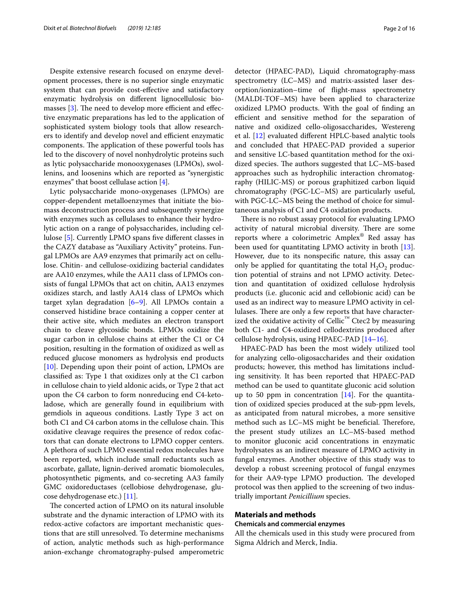Despite extensive research focused on enzyme development processes, there is no superior single enzymatic system that can provide cost-efective and satisfactory enzymatic hydrolysis on diferent lignocellulosic bio-masses [\[3](#page-15-2)]. The need to develop more efficient and effective enzymatic preparations has led to the application of sophisticated system biology tools that allow researchers to identify and develop novel and efficient enzymatic components. The application of these powerful tools has led to the discovery of novel nonhydrolytic proteins such as lytic polysaccharide monooxygenases (LPMOs), swollenins, and loosenins which are reported as "synergistic enzymes" that boost cellulase action [[4\]](#page-15-3).

Lytic polysaccharide mono-oxygenases (LPMOs) are copper-dependent metalloenzymes that initiate the biomass deconstruction process and subsequently synergize with enzymes such as cellulases to enhance their hydrolytic action on a range of polysaccharides, including cellulose [[5](#page-15-4)]. Currently LPMO spans fve diferent classes in the CAZY database as "Auxiliary Activity" proteins. Fungal LPMOs are AA9 enzymes that primarily act on cellulose. Chitin- and cellulose-oxidizing bacterial candidates are AA10 enzymes, while the AA11 class of LPMOs consists of fungal LPMOs that act on chitin, AA13 enzymes oxidizes starch, and lastly AA14 class of LPMOs which target xylan degradation  $[6-9]$  $[6-9]$ . All LPMOs contain a conserved histidine brace containing a copper center at their active site, which mediates an electron transport chain to cleave glycosidic bonds. LPMOs oxidize the sugar carbon in cellulose chains at either the C1 or C4 position, resulting in the formation of oxidized as well as reduced glucose monomers as hydrolysis end products [[10\]](#page-15-7). Depending upon their point of action, LPMOs are classifed as: Type 1 that oxidizes only at the C1 carbon in cellulose chain to yield aldonic acids, or Type 2 that act upon the C4 carbon to form nonreducing end C4-ketoladose, which are generally found in equilibrium with gemdiols in aqueous conditions. Lastly Type 3 act on both C1 and C4 carbon atoms in the cellulose chain. This oxidative cleavage requires the presence of redox cofactors that can donate electrons to LPMO copper centers. A plethora of such LPMO essential redox molecules have been reported, which include small reductants such as ascorbate, gallate, lignin-derived aromatic biomolecules, photosynthetic pigments, and co-secreting AA3 family GMC oxidoreductases (cellobiose dehydrogenase, glucose dehydrogenase etc.) [[11](#page-15-8)].

The concerted action of LPMO on its natural insoluble substrate and the dynamic interaction of LPMO with its redox-active cofactors are important mechanistic questions that are still unresolved. To determine mechanisms of action, analytic methods such as high-performance anion-exchange chromatography-pulsed amperometric detector (HPAEC-PAD), Liquid chromatography-mass spectrometry (LC–MS) and matrix-assisted laser desorption/ionization–time of fight-mass spectrometry (MALDI-TOF–MS) have been applied to characterize oxidized LPMO products. With the goal of fnding an efficient and sensitive method for the separation of native and oxidized cello-oligosaccharides, Westereng et al. [\[12](#page-15-9)] evaluated diferent HPLC-based analytic tools and concluded that HPAEC-PAD provided a superior and sensitive LC-based quantitation method for the oxidized species. The authors suggested that LC–MS-based approaches such as hydrophilic interaction chromatography (HILIC-MS) or porous graphitized carbon liquid chromatography (PGC-LC–MS) are particularly useful, with PGC-LC–MS being the method of choice for simultaneous analysis of C1 and C4 oxidation products.

There is no robust assay protocol for evaluating LPMO activity of natural microbial diversity. There are some reports where a colorimetric Amplex® Red assay has been used for quantitating LPMO activity in broth [\[13](#page-15-10)]. However, due to its nonspecifc nature, this assay can only be applied for quantitating the total  $H_2O_2$  production potential of strains and not LPMO activity. Detection and quantitation of oxidized cellulose hydrolysis products (i.e. gluconic acid and cellobionic acid) can be used as an indirect way to measure LPMO activity in cellulases. There are only a few reports that have characterized the oxidative activity of Cellic<sup>™</sup> Ctec2 by measuring both C1- and C4-oxidized cellodextrins produced after cellulose hydrolysis, using HPAEC-PAD [[14–](#page-15-11)[16](#page-15-12)].

HPAEC-PAD has been the most widely utilized tool for analyzing cello-oligosaccharides and their oxidation products; however, this method has limitations including sensitivity. It has been reported that HPAEC-PAD method can be used to quantitate gluconic acid solution up to 50 ppm in concentration  $[14]$ . For the quantitation of oxidized species produced at the sub-ppm levels, as anticipated from natural microbes, a more sensitive method such as LC-MS might be beneficial. Therefore, the present study utilizes an LC–MS-based method to monitor gluconic acid concentrations in enzymatic hydrolysates as an indirect measure of LPMO activity in fungal enzymes. Another objective of this study was to develop a robust screening protocol of fungal enzymes for their AA9-type LPMO production. The developed protocol was then applied to the screening of two industrially important *Penicillium* species.

#### **Materials and methods**

## **Chemicals and commercial enzymes**

All the chemicals used in this study were procured from Sigma Aldrich and Merck, India.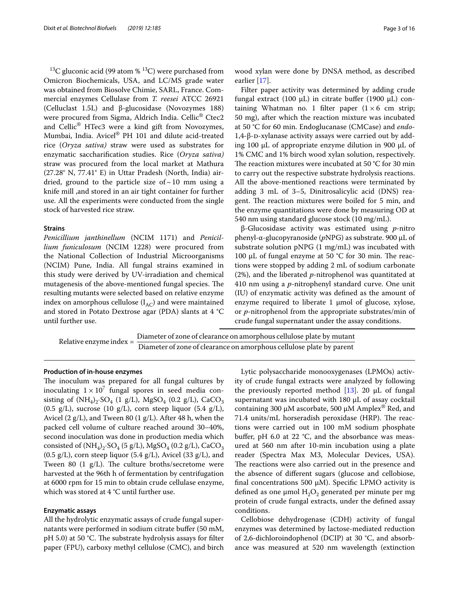$13C$  gluconic acid (99 atom %  $13C$ ) were purchased from Omicron Biochemicals, USA, and LC/MS grade water was obtained from Biosolve Chimie, SARL, France. Commercial enzymes Cellulase from *T. reesei* ATCC 26921 (Celluclast 1.5L) and β-glucosidase (Novozymes 188) were procured from Sigma, Aldrich India. Cellic<sup>®</sup> Ctec2 and Cellic® HTec3 were a kind gift from Novozymes, Mumbai, India. Avicel® PH 101 and dilute acid-treated rice (*Oryza sativa)* straw were used as substrates for enzymatic saccharifcation studies. Rice (*Oryza sativa)* straw was procured from the local market at Mathura (27.28° N, 77.41° E) in Uttar Pradesh (North, India) airdried, ground to the particle size of  $\sim$  10 mm using a knife mill ,and stored in an air tight container for further use. All the experiments were conducted from the single stock of harvested rice straw.

#### **Strains**

*Penicillium janthinellum* (NCIM 1171) and *Penicillium funiculosum* (NCIM 1228) were procured from the National Collection of Industrial Microorganisms (NCIM) Pune, India. All fungal strains examined in this study were derived by UV-irradiation and chemical mutagenesis of the above-mentioned fungal species. The resulting mutants were selected based on relative enzyme index on amorphous cellulose  $(I_{AC})$  and were maintained and stored in Potato Dextrose agar (PDA) slants at 4 °C until further use.

wood xylan were done by DNSA method, as described earlier [\[17](#page-15-13)].

Filter paper activity was determined by adding crude fungal extract (100 μL) in citrate buffer (1900 μL) containing Whatman no. 1 filter paper  $(1 \times 6$  cm strip; 50 mg), after which the reaction mixture was incubated at 50 °C for 60 min. Endoglucanase (CMCase) and *endo*-1,4-β-d-xylanase activity assays were carried out by adding 100  $\mu$ L of appropriate enzyme dilution in 900  $\mu$ L of 1% CMC and 1% birch wood xylan solution, respectively. The reaction mixtures were incubated at 50  $\degree$ C for 30 min to carry out the respective substrate hydrolysis reactions. All the above-mentioned reactions were terminated by adding 3 mL of 3–5, Dinitrosalicylic acid (DNS) reagent. The reaction mixtures were boiled for 5 min, and the enzyme quantitations were done by measuring OD at 540 nm using standard glucose stock (10 mg/mL).

β-Glucosidase activity was estimated using *p*-nitro phenyl-α-glucopyranoside (*p*NPG) as substrate. 900 µL of substrate solution pNPG (1 mg/mL) was incubated with 100  $\mu$ L of fungal enzyme at 50 °C for 30 min. The reactions were stopped by adding 2 mL of sodium carbonate (2%), and the liberated *p*-nitrophenol was quantitated at 410 nm using a *p*-nitrophenyl standard curve. One unit (IU) of enzymatic activity was defned as the amount of enzyme required to liberate  $1 \mu$ mol of glucose, xylose, or *p*-nitrophenol from the appropriate substrates/min of crude fungal supernatant under the assay conditions.

Relative enzyme index = Diameter of zone of clearance on amorphous cellulose plate by mutant Diameter of zone of clearance on amorphous cellulose plate by parent

#### **Production of in‑house enzymes**

The inoculum was prepared for all fungal cultures by inoculating  $1 \times 10^7$  fungal spores in seed media consisting of  $(NH_4)_2$ ·SO<sub>4</sub> (1 g/L), MgSO<sub>4</sub> (0.2 g/L), CaCO<sub>3</sub>  $(0.5 \text{ g/L})$ , sucrose  $(10 \text{ g/L})$ , corn steep liquor  $(5.4 \text{ g/L})$ , Avicel (2 g/L), and Tween 80 (1 g/L). After 48 h, when the packed cell volume of culture reached around 30–40%, second inoculation was done in production media which consisted of  $(NH_4)_2$ ·SO<sub>4</sub> (5 g/L), MgSO<sub>4</sub> (0.2 g/L), CaCO<sub>3</sub>  $(0.5 \text{ g/L})$ , corn steep liquor  $(5.4 \text{ g/L})$ , Avicel  $(33 \text{ g/L})$ , and Tween 80  $(1 \text{ g/L})$ . The culture broths/secretome were harvested at the 96th h of fermentation by centrifugation at 6000 rpm for 15 min to obtain crude cellulase enzyme, which was stored at 4 °C until further use.

#### **Enzymatic assays**

All the hydrolytic enzymatic assays of crude fungal supernatants were performed in sodium citrate bufer (50 mM, pH 5.0) at 50  $°C$ . The substrate hydrolysis assays for filter paper (FPU), carboxy methyl cellulose (CMC), and birch

Lytic polysaccharide monooxygenases (LPMOs) activity of crude fungal extracts were analyzed by following the previously reported method  $[13]$  $[13]$ . 20  $\mu$ L of fungal supernatant was incubated with 180 μL of assay cocktail containing 300 μM ascorbate, 500 μM Amplex<sup>®</sup> Red, and  $71.4$  units/mL horseradish peroxidase (HRP). The reactions were carried out in 100 mM sodium phosphate buffer, pH 6.0 at 22  $^{\circ}$ C, and the absorbance was measured at 560 nm after 10-min incubation using a plate reader (Spectra Max M3, Molecular Devices, USA). The reactions were also carried out in the presence and the absence of diferent sugars (glucose and cellobiose, final concentrations 500  $\mu$ M). Specific LPMO activity is defined as one  $\mu$ mol  $H_2O_2$  generated per minute per mg protein of crude fungal extracts, under the defned assay conditions.

Cellobiose dehydrogenase (CDH) activity of fungal enzymes was determined by lactose-mediated reduction of 2,6-dichloroindophenol (DCIP) at 30 °C, and absorbance was measured at 520 nm wavelength (extinction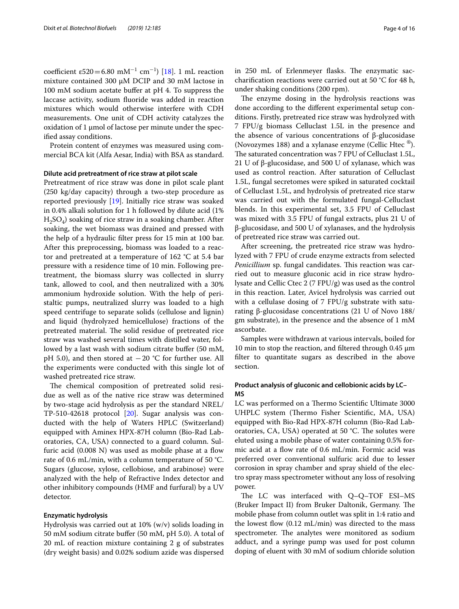$coefficient \varepsilon 520 = 6.80 \, \text{m} \text{m}^{-1} \, \text{cm}^{-1}$  [[18\]](#page-15-14). 1 mL reaction mixture contained 300 µM DCIP and 30 mM lactose in 100 mM sodium acetate buffer at pH 4. To suppress the laccase activity, sodium fuoride was added in reaction mixtures which would otherwise interfere with CDH measurements. One unit of CDH activity catalyzes the oxidation of 1 μmol of lactose per minute under the specifed assay conditions.

Protein content of enzymes was measured using commercial BCA kit (Alfa Aesar, India) with BSA as standard.

#### **Dilute acid pretreatment of rice straw at pilot scale**

Pretreatment of rice straw was done in pilot scale plant (250 kg/day capacity) through a two-step procedure as reported previously [[19\]](#page-15-15). Initially rice straw was soaked in 0.4% alkali solution for 1 h followed by dilute acid (1%  $H_2SO_4$ ) soaking of rice straw in a soaking chamber. After soaking, the wet biomass was drained and pressed with the help of a hydraulic flter press for 15 min at 100 bar. After this preprocessing, biomass was loaded to a reactor and pretreated at a temperature of 162 °C at 5.4 bar pressure with a residence time of 10 min. Following pretreatment, the biomass slurry was collected in slurry tank, allowed to cool, and then neutralized with a 30% ammonium hydroxide solution. With the help of peristaltic pumps, neutralized slurry was loaded to a high speed centrifuge to separate solids (cellulose and lignin) and liquid (hydrolyzed hemicellulose) fractions of the pretreated material. The solid residue of pretreated rice straw was washed several times with distilled water, followed by a last wash with sodium citrate buffer (50 mM, pH 5.0), and then stored at  $-20$  °C for further use. All the experiments were conducted with this single lot of washed pretreated rice straw.

The chemical composition of pretreated solid residue as well as of the native rice straw was determined by two-stage acid hydrolysis as per the standard NREL/ TP-510-42618 protocol [\[20\]](#page-15-16). Sugar analysis was conducted with the help of Waters HPLC (Switzerland) equipped with Aminex HPX-87H column (Bio-Rad Laboratories, CA, USA) connected to a guard column. Sulfuric acid  $(0.008 \text{ N})$  was used as mobile phase at a flow rate of 0.6 mL/min, with a column temperature of 50 °C. Sugars (glucose, xylose, cellobiose, and arabinose) were analyzed with the help of Refractive Index detector and other inhibitory compounds (HMF and furfural) by a UV detector.

#### **Enzymatic hydrolysis**

Hydrolysis was carried out at 10% (w/v) solids loading in 50 mM sodium citrate bufer (50 mM, pH 5.0). A total of 20 mL of reaction mixture containing 2 g of substrates (dry weight basis) and 0.02% sodium azide was dispersed

in 250 mL of Erlenmeyer flasks. The enzymatic saccharifcation reactions were carried out at 50 °C for 48 h, under shaking conditions (200 rpm).

The enzyme dosing in the hydrolysis reactions was done according to the diferent experimental setup conditions. Firstly, pretreated rice straw was hydrolyzed with 7 FPU/g biomass Celluclast 1.5L in the presence and the absence of various concentrations of β-glucosidase (Novozymes 188) and a xylanase enzyme (Cellic Htec ®). The saturated concentration was 7 FPU of Celluclast 1.5L, 21 U of β-glucosidase, and 500 U of xylanase, which was used as control reaction. After saturation of Celluclast 1.5L, fungal secretomes were spiked in saturated cocktail of Celluclast 1.5L, and hydrolysis of pretreated rice starw was carried out with the formulated fungal-Celluclast blends. In this experimental set, 3.5 FPU of Celluclast was mixed with 3.5 FPU of fungal extracts, plus 21 U of β-glucosidase, and 500 U of xylanases, and the hydrolysis of pretreated rice straw was carried out.

After screening, the pretreated rice straw was hydrolyzed with 7 FPU of crude enzyme extracts from selected *Penicillium* sp. fungal candidates. This reaction was carried out to measure gluconic acid in rice straw hydrolysate and Cellic Ctec 2 (7 FPU/g) was used as the control in this reaction. Later, Avicel hydrolysis was carried out with a cellulase dosing of 7 FPU/g substrate with saturating β-glucosidase concentrations (21 U of Novo 188/ gm substrate), in the presence and the absence of 1 mM ascorbate.

Samples were withdrawn at various intervals, boiled for 10 min to stop the reaction, and fltered through 0.45 µm flter to quantitate sugars as described in the above section.

## **Product analysis of gluconic and cellobionic acids by LC– MS**

LC was performed on a Thermo Scientific Ultimate 3000 UHPLC system (Thermo Fisher Scientific, MA, USA) equipped with Bio-Rad HPX-87H column (Bio-Rad Laboratories,  $CA$ , USA) operated at 50  $°C$ . The solutes were eluted using a mobile phase of water containing 0.5% formic acid at a fow rate of 0.6 mL/min. Formic acid was preferred over conventional sulfuric acid due to lesser corrosion in spray chamber and spray shield of the electro spray mass spectrometer without any loss of resolving power.

The LC was interfaced with  $Q-Q-TOF$  ESI-MS (Bruker Impact II) from Bruker Daltonik, Germany. The mobile phase from column outlet was split in 1:4 ratio and the lowest flow  $(0.12 \text{ mL/min})$  was directed to the mass spectrometer. The analytes were monitored as sodium adduct, and a syringe pump was used for post column doping of eluent with 30 mM of sodium chloride solution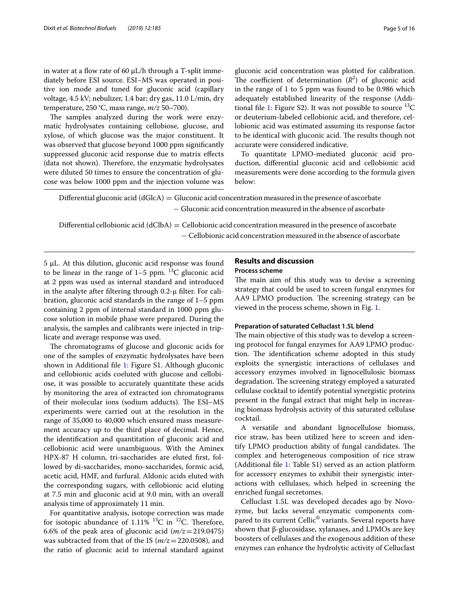in water at a flow rate of 60  $\mu$ L/h through a T-split immediately before ESI source. ESI–MS was operated in positive ion mode and tuned for gluconic acid (capillary voltage, 4.5 kV; nebulizer, 1.4 bar; dry gas, 11.0 L/min, dry temperature, 250 °C, mass range, *m/z* 50–700).

The samples analyzed during the work were enzymatic hydrolysates containing cellobiose, glucose, and xylose, of which glucose was the major constituent. It was observed that glucose beyond 1000 ppm signifcantly suppressed gluconic acid response due to matrix efects (data not shown). Therefore, the enzymatic hydrolysates were diluted 50 times to ensure the concentration of glucose was below 1000 ppm and the injection volume was gluconic acid concentration was plotted for calibration. The coefficient of determination  $(R^2)$  of gluconic acid in the range of 1 to 5 ppm was found to be 0.986 which adequately established linearity of the response (Addi-tional file [1](#page-14-0): Figure S2). It was not possible to source  ${}^{13}C$ or deuterium-labeled cellobionic acid, and therefore, cellobionic acid was estimated assuming its response factor to be identical with gluconic acid. The results though not accurate were considered indicative.

To quantitate LPMO-mediated gluconic acid production, diferential gluconic acid and cellobionic acid measurements were done according to the formula given below:

Differential gluconic acid ( $dGlcA$ ) = Gluconic acid concentration measured in the presence of ascorbate − Gluconic acid concentration measured in the absence of ascorbate

Differential cellobionic acid (dClbA) = Cellobionic acid concentration measured in the presence of ascorbate − Cellobionic acid concentration measured in the absence of ascorbate

5 µL. At this dilution, gluconic acid response was found to be linear in the range of  $1-5$  ppm.  $^{13}C$  gluconic acid at 2 ppm was used as internal standard and introduced in the analyte after fltering through 0.2-µ flter. For calibration, gluconic acid standards in the range of 1–5 ppm containing 2 ppm of internal standard in 1000 ppm glucose solution in mobile phase were prepared. During the analysis, the samples and calibrants were injected in triplicate and average response was used.

The chromatograms of glucose and gluconic acids for one of the samples of enzymatic hydrolysates have been shown in Additional fle [1:](#page-14-0) Figure S1. Although gluconic and cellobionic acids coeluted with glucose and cellobiose, it was possible to accurately quantitate these acids by monitoring the area of extracted ion chromatograms of their molecular ions (sodium adducts). The ESI-MS experiments were carried out at the resolution in the range of 35,000 to 40,000 which ensured mass measurement accuracy up to the third place of decimal. Hence, the identifcation and quantitation of gluconic acid and cellobionic acid were unambiguous. With the Aminex HPX-87 H column, tri-saccharides are eluted frst, followed by di-saccharides, mono-saccharides, formic acid, acetic acid, HMF, and furfural. Aldonic acids eluted with the corresponding sugars, with cellobionic acid eluting at 7.5 min and gluconic acid at 9.0 min, with an overall analysis time of approximately 11 min.

For quantitative analysis, isotope correction was made for isotopic abundance of 1.11%  $^{13}$ C in  $^{12}$ C. Therefore, 6.6% of the peak area of gluconic acid  $(m/z=219.0475)$ was subtracted from that of the IS (*m/z*=220.0508), and the ratio of gluconic acid to internal standard against

## **Results and discussion Process scheme**

The main aim of this study was to devise a screening strategy that could be used to screen fungal enzymes for AA9 LPMO production. The screening strategy can be viewed in the process scheme, shown in Fig. [1](#page-5-0).

#### **Preparation of saturated Celluclast 1.5L blend**

The main objective of this study was to develop a screening protocol for fungal enzymes for AA9 LPMO production. The identification scheme adopted in this study exploits the synergistic interactions of cellulases and accessory enzymes involved in lignocellulosic biomass degradation. The screening strategy employed a saturated cellulase cocktail to identify potential synergistic proteins present in the fungal extract that might help in increasing biomass hydrolysis activity of this saturated cellulase cocktail.

A versatile and abundant lignocellulose biomass, rice straw, has been utilized here to screen and identify LPMO production ability of fungal candidates. The complex and heterogeneous composition of rice straw (Additional fle [1:](#page-14-0) Table S1) served as an action platform for accessory enzymes to exhibit their synergistic interactions with cellulases, which helped in screening the enriched fungal secretomes.

Celluclast 1.5L was developed decades ago by Novozyme, but lacks several enzymatic components compared to its current Cellic® variants. Several reports have shown that β-glucosidase, xylanases, and LPMOs are key boosters of cellulases and the exogenous addition of these enzymes can enhance the hydrolytic activity of Celluclast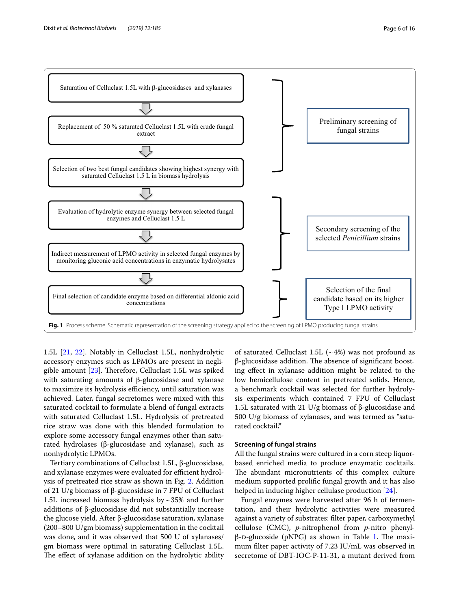

<span id="page-5-0"></span>1.5L [\[21](#page-15-17), [22](#page-15-18)]. Notably in Celluclast 1.5L, nonhydrolytic accessory enzymes such as LPMOs are present in negligible amount  $[23]$  $[23]$ . Therefore, Celluclast 1.5L was spiked with saturating amounts of β-glucosidase and xylanase to maximize its hydrolysis efficiency, until saturation was achieved. Later, fungal secretomes were mixed with this saturated cocktail to formulate a blend of fungal extracts with saturated Celluclast 1.5L. Hydrolysis of pretreated rice straw was done with this blended formulation to explore some accessory fungal enzymes other than saturated hydrolases (β-glucosidase and xylanase), such as nonhydrolytic LPMOs.

Tertiary combinations of Celluclast 1.5L, β-glucosidase, and xylanase enzymes were evaluated for efficient hydrolysis of pretreated rice straw as shown in Fig. [2.](#page-6-0) Addition of 21 U/g biomass of β-glucosidase in 7 FPU of Celluclast 1.5L increased biomass hydrolysis by  $\sim$  35% and further additions of β-glucosidase did not substantially increase the glucose yield. After β-glucosidase saturation, xylanase (200–800 U/gm biomass) supplementation in the cocktail was done, and it was observed that 500 U of xylanases/ gm biomass were optimal in saturating Celluclast 1.5L. The effect of xylanase addition on the hydrolytic ability

of saturated Celluclast 1.5L  $({\sim}4\%)$  was not profound as β-glucosidase addition. The absence of significant boosting efect in xylanase addition might be related to the low hemicellulose content in pretreated solids. Hence, a benchmark cocktail was selected for further hydrolysis experiments which contained 7 FPU of Celluclast 1.5L saturated with 21 U/g biomass of β-glucosidase and 500 U/g biomass of xylanases, and was termed as "saturated cocktail**."**

## **Screening of fungal strains**

All the fungal strains were cultured in a corn steep liquorbased enriched media to produce enzymatic cocktails. The abundant micronutrients of this complex culture medium supported prolifc fungal growth and it has also helped in inducing higher cellulase production [\[24](#page-15-20)].

Fungal enzymes were harvested after 96 h of fermentation, and their hydrolytic activities were measured against a variety of substrates: flter paper, carboxymethyl cellulose (CMC), *p*-nitrophenol from *p*-nitro phenyl $β$ -D-glucoside (pNPG) as shown in Table [1.](#page-7-0) The maximum flter paper activity of 7.23 IU/mL was observed in secretome of DBT-IOC-P-11-31, a mutant derived from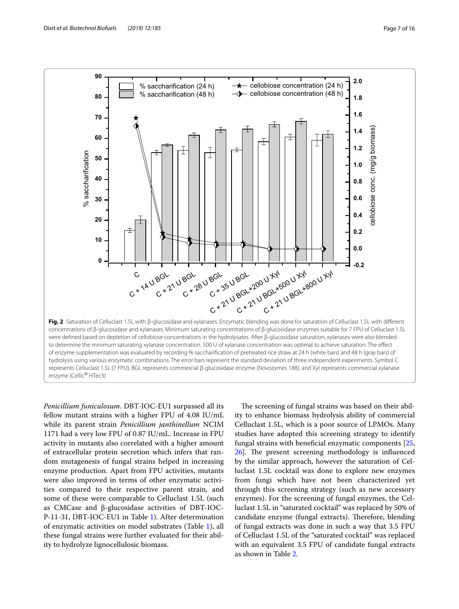

<span id="page-6-0"></span>of enzyme supplementation was evaluated by recording % saccharifcation of pretreated rice straw at 24 h (white bars) and 48 h (gray bars) of hydrolysis using various enzymatic combinations. The error bars represent the standard deviation of three independent experiments. Symbol C represents Celluclast 1.5L (7 FPU), BGL represents commercial β-glucosidase enzyme (Novozymes 188), and Xyl represents commercial xylanase enzyme (Cellic® HTec3)

*Penicillium funiculosum*. DBT-IOC-EU1 surpassed all its fellow mutant strains with a higher FPU of 4.08 IU/mL while its parent strain *Penicillium janthinellum* NCIM 1171 had a very low FPU of 0.87 IU/mL. Increase in FPU activity in mutants also correlated with a higher amount of extracellular protein secretion which infers that random mutagenesis of fungal strains helped in increasing enzyme production. Apart from FPU activities, mutants were also improved in terms of other enzymatic activities compared to their respective parent strain, and some of these were comparable to Celluclast 1.5L (such as CMCase and β-glucosidase activities of DBT-IOC-P-11-31, DBT-IOC-EU1 in Table [1\)](#page-7-0). After determination of enzymatic activities on model substrates (Table [1](#page-7-0)), all these fungal strains were further evaluated for their ability to hydrolyze lignocellulosic biomass.

The screening of fungal strains was based on their ability to enhance biomass hydrolysis ability of commercial Celluclast 1.5L, which is a poor source of LPMOs. Many studies have adopted this screening strategy to identify fungal strains with benefcial enzymatic components [[25](#page-15-21),  $26$ ]. The present screening methodology is influenced by the similar approach, however the saturation of Celluclast 1.5L cocktail was done to explore new enzymes from fungi which have not been characterized yet through this screening strategy (such as new accessory enzymes). For the screening of fungal enzymes, the Celluclast 1.5L in "saturated cocktail" was replaced by 50% of candidate enzyme (fungal extracts). Therefore, blending of fungal extracts was done in such a way that 3.5 FPU of Celluclast 1.5L of the "saturated cocktail" was replaced with an equivalent 3.5 FPU of candidate fungal extracts as shown in Table [2](#page-7-1).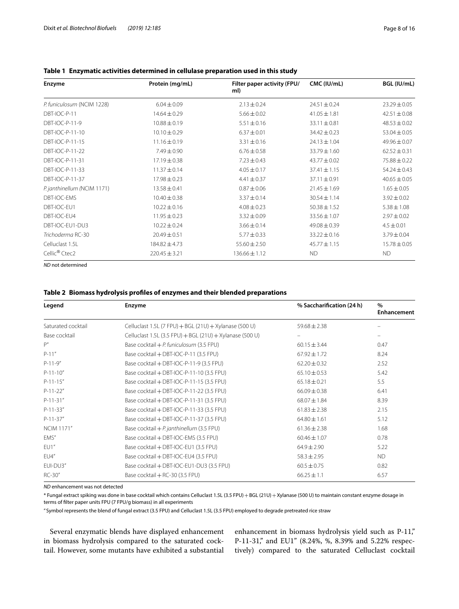| Enzyme                      | Protein (mg/mL)   | Filter paper activity (FPU/<br>ml) | CMC (IU/mL)      | BGL (IU/mL)      |
|-----------------------------|-------------------|------------------------------------|------------------|------------------|
| P. funiculosum (NCIM 1228)  | $6.04 \pm 0.09$   | $2.13 \pm 0.24$                    | $24.51 \pm 0.24$ | $23.29 \pm 0.05$ |
| DBT-IOC-P-11                | $14.64 \pm 0.29$  | $5.66 \pm 0.02$                    | $41.05 \pm 1.81$ | $42.51 \pm 0.08$ |
| DBT-IOC-P-11-9              | $10.88 \pm 0.19$  | $5.51 \pm 0.16$                    | $33.11 \pm 0.81$ | $48.53 \pm 0.02$ |
| DBT-IOC-P-11-10             | $10.10 \pm 0.29$  | $6.37 \pm 0.01$                    | $34.42 \pm 0.23$ | $53.04 \pm 0.05$ |
| DBT-IOC-P-11-15             | $11.16 \pm 0.19$  | $3.31 \pm 0.16$                    | $24.13 \pm 1.04$ | $49.96 \pm 0.07$ |
| DBT-IOC-P-11-22             | $7.49 \pm 0.90$   | $6.76 \pm 0.58$                    | $33.79 \pm 1.60$ | $62.52 \pm 0.31$ |
| DBT-IOC-P-11-31             | 17.19 ± 0.38      | $7.23 \pm 0.43$                    | $43.77 \pm 0.02$ | 75.88 ± 0.22     |
| DBT-IOC-P-11-33             | $11.37 \pm 0.14$  | $4.05 \pm 0.17$                    | $37.41 \pm 1.15$ | $54.24 \pm 0.43$ |
| DBT-IOC-P-11-37             | $17.98 \pm 0.23$  | $4.41 \pm 0.37$                    | $37.11 \pm 0.91$ | $40.65 \pm 0.05$ |
| P. janthinellum (NCIM 1171) | $13.58 \pm 0.41$  | $0.87 \pm 0.06$                    | $21.45 \pm 1.69$ | $1.65 \pm 0.05$  |
| DBT-IOC-EMS                 | $10.40 \pm 0.38$  | $3.37 \pm 0.14$                    | $30.54 \pm 1.14$ | $3.92 \pm 0.02$  |
| DBT-IOC-EU1                 | $10.22 \pm 0.16$  | $4.08 \pm 0.23$                    | $50.38 \pm 1.52$ | $5.38 \pm 1.08$  |
| DBT-IOC-EU4                 | $11.95 \pm 0.23$  | $3.32 \pm 0.09$                    | $33.56 \pm 1.07$ | $2.97 \pm 0.02$  |
| DBT-IOC-EU1-DU3             | $10.22 \pm 0.24$  | $3.66 \pm 0.14$                    | $49.08 \pm 0.39$ | $4.5 \pm 0.01$   |
| Trichoderma RC-30           | $20.49 \pm 0.51$  | $5.77 \pm 0.33$                    | $33.22 \pm 0.16$ | $3.79 \pm 0.04$  |
| Celluclast 1.5L             | $184.82 \pm 4.73$ | $55.60 \pm 2.50$                   | $45.77 \pm 1.15$ | $15.78 \pm 0.05$ |
| Cellic <sup>®</sup> Ctec2   | $220.45 \pm 3.21$ | $136.66 \pm 1.12$                  | <b>ND</b>        | <b>ND</b>        |

### <span id="page-7-0"></span>**Table 1 Enzymatic activities determined in cellulase preparation used in this study**

*ND* not determined

## <span id="page-7-1"></span>**Table 2 Biomass hydrolysis profles of enzymes and their blended preparations**

| Legend             | <b>Enzyme</b>                                            | % Saccharification (24 h) | $\%$<br>Enhancement |  |
|--------------------|----------------------------------------------------------|---------------------------|---------------------|--|
| Saturated cocktail | Celluclast 1.5L (7 FPU) + BGL (21U) + Xylanase (500 U)   | $59.68 \pm 2.38$          |                     |  |
| Base cocktail      | Celluclast 1.5L (3.5 FPU) + BGL (21U) + Xylanase (500 U) |                           |                     |  |
| P''                | Base cocktail $+ P$ . funiculosum (3.5 FPU)              | $60.15 \pm 3.44$          | 0.47                |  |
| $P-11''$           | Base cocktail + DBT-IOC-P-11 (3.5 FPU)                   | $67.92 \pm 1.72$          | 8.24                |  |
| $P-11-9''$         | Base cocktail + DBT-IOC-P-11-9 (3.5 FPU)                 | $62.20 \pm 0.32$          | 2.52                |  |
| $P-11-10''$        | Base cocktail + DBT-IOC-P-11-10 (3.5 FPU)                | $65.10 \pm 0.53$          | 5.42                |  |
| $P-11-15''$        | Base cocktail + DBT-IOC-P-11-15 (3.5 FPU)                | $65.18 \pm 0.21$          | 5.5                 |  |
| $P-11-22"$         | Base cocktail + DBT-IOC-P-11-22 (3.5 FPU)                | $66.09 \pm 0.38$          | 6.41                |  |
| $P-11-31''$        | Base cocktail + DBT-IOC-P-11-31 (3.5 FPU)                | $68.07 \pm 1.84$          | 8.39                |  |
| $P-11-33''$        | Base cocktail + DBT-IOC-P-11-33 (3.5 FPU)                | $61.83 \pm 2.38$          | 2.15                |  |
| $P-11-37''$        | Base cocktail + DBT-IOC-P-11-37 (3.5 FPU)                | $64.80 \pm 1.61$          | 5.12                |  |
| <b>NCIM 1171"</b>  | Base cocktail $+ P$ janthinellum (3.5 FPU)               | $61.36 \pm 2.38$          | 1.68                |  |
| EMS"               | Base cocktail + DBT-IOC-EMS (3.5 FPU)                    | $60.46 \pm 1.07$          | 0.78                |  |
| EUI''              | Base cocktail + DBT-IOC-EU1 (3.5 FPU)                    | $64.9 \pm 2.90$           | 5.22                |  |
| EU4''              | Base cocktail + DBT-IOC-EU4 (3.5 FPU)                    | $58.3 \pm 2.95$           | <b>ND</b>           |  |
| EUI-DU3"           | Base cocktail + DBT-IOC-EU1-DU3 (3.5 FPU)                | $60.5 \pm 0.75$           | 0.82                |  |
| RC-30"             | Base cocktail + RC-30 (3.5 FPU)                          | $66.25 \pm 1.1$           | 6.57                |  |

*ND* enhancement was not detected

\* Fungal extract spiking was done in base cocktail which contains Celluclast 1.5L (3.5 FPU)+BGL (21U)+Xylanase (500 U) to maintain constant enzyme dosage in terms of flter paper units FPU (7 FPU/g biomass) in all experiments

" Symbol represents the blend of fungal extract (3.5 FPU) and Celluclast 1.5L (3.5 FPU) employed to degrade pretreated rice straw

Several enzymatic blends have displayed enhancement in biomass hydrolysis compared to the saturated cocktail. However, some mutants have exhibited a substantial enhancement in biomass hydrolysis yield such as P-11," P-11-31," and EU1" (8.24%, %, 8.39% and 5.22% respectively) compared to the saturated Celluclast cocktail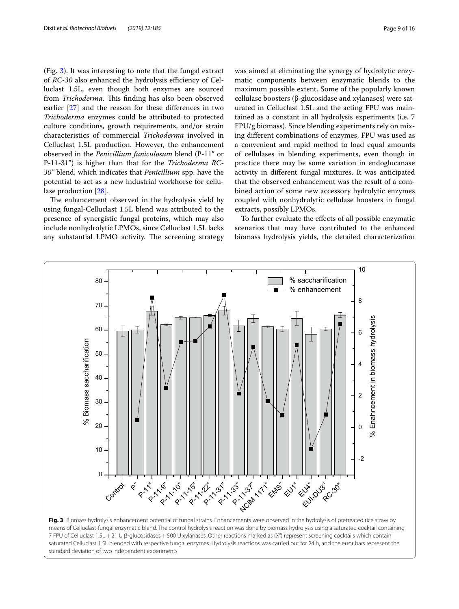(Fig. [3\)](#page-8-0). It was interesting to note that the fungal extract of *RC-30* also enhanced the hydrolysis efficiency of Celluclast 1.5L, even though both enzymes are sourced from *Trichoderma*. This finding has also been observed earlier [[27\]](#page-15-23) and the reason for these diferences in two *Trichoderma* enzymes could be attributed to protected culture conditions, growth requirements, and/or strain characteristics of commercial *Trichoderma* involved in Celluclast 1.5L production. However, the enhancement observed in the *Penicillium funiculosum* blend (P-11" or P-11-31") is higher than that for the *Trichoderma RC*-*30"* blend, which indicates that *Penicillium* spp. have the potential to act as a new industrial workhorse for cellulase production [[28\]](#page-15-24).

The enhancement observed in the hydrolysis yield by using fungal-Celluclast 1.5L blend was attributed to the presence of synergistic fungal proteins, which may also include nonhydrolytic LPMOs, since Celluclast 1.5L lacks any substantial LPMO activity. The screening strategy

was aimed at eliminating the synergy of hydrolytic enzymatic components between enzymatic blends to the maximum possible extent. Some of the popularly known cellulase boosters (β-glucosidase and xylanases) were saturated in Celluclast 1.5L and the acting FPU was maintained as a constant in all hydrolysis experiments (i.e. 7 FPU/g biomass). Since blending experiments rely on mixing diferent combinations of enzymes, FPU was used as a convenient and rapid method to load equal amounts of cellulases in blending experiments, even though in practice there may be some variation in endoglucanase activity in diferent fungal mixtures. It was anticipated that the observed enhancement was the result of a combined action of some new accessory hydrolytic enzymes coupled with nonhydrolytic cellulase boosters in fungal extracts, possibly LPMOs.

To further evaluate the efects of all possible enzymatic scenarios that may have contributed to the enhanced biomass hydrolysis yields, the detailed characterization



<span id="page-8-0"></span>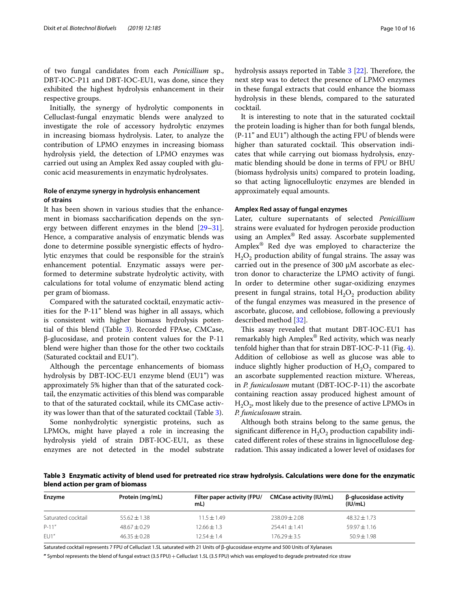of two fungal candidates from each *Penicillium* sp., DBT-IOC-P11 and DBT-IOC-EU1, was done, since they exhibited the highest hydrolysis enhancement in their respective groups.

Initially, the synergy of hydrolytic components in Celluclast-fungal enzymatic blends were analyzed to investigate the role of accessory hydrolytic enzymes in increasing biomass hydrolysis. Later, to analyze the contribution of LPMO enzymes in increasing biomass hydrolysis yield, the detection of LPMO enzymes was carried out using an Amplex Red assay coupled with gluconic acid measurements in enzymatic hydrolysates.

## **Role of enzyme synergy in hydrolysis enhancement of strains**

It has been shown in various studies that the enhancement in biomass saccharifcation depends on the synergy between diferent enzymes in the blend [[29](#page-15-25)[–31](#page-15-26)]. Hence, a comparative analysis of enzymatic blends was done to determine possible synergistic efects of hydrolytic enzymes that could be responsible for the strain's enhancement potential. Enzymatic assays were performed to determine substrate hydrolytic activity, with calculations for total volume of enzymatic blend acting per gram of biomass.

Compared with the saturated cocktail, enzymatic activities for the P-11" blend was higher in all assays, which is consistent with higher biomass hydrolysis potential of this blend (Table [3\)](#page-9-0). Recorded FPAse, CMCase, β-glucosidase, and protein content values for the P-11 blend were higher than those for the other two cocktails (Saturated cocktail and EU1").

Although the percentage enhancements of biomass hydrolysis by DBT-IOC-EU1 enzyme blend (EU1") was approximately 5% higher than that of the saturated cocktail, the enzymatic activities of this blend was comparable to that of the saturated cocktail, while its CMCase activity was lower than that of the saturated cocktail (Table [3](#page-9-0)).

Some nonhydrolytic synergistic proteins, such as LPMOs, might have played a role in increasing the hydrolysis yield of strain DBT-IOC-EU1, as these enzymes are not detected in the model substrate hydrolysis assays reported in Table  $3$  [\[22](#page-15-18)]. Therefore, the next step was to detect the presence of LPMO enzymes in these fungal extracts that could enhance the biomass hydrolysis in these blends, compared to the saturated cocktail.

It is interesting to note that in the saturated cocktail the protein loading is higher than for both fungal blends, (P-11" and EU1") although the acting FPU of blends were higher than saturated cocktail. This observation indicates that while carrying out biomass hydrolysis, enzymatic blending should be done in terms of FPU or BHU (biomass hydrolysis units) compared to protein loading, so that acting lignocelluloytic enzymes are blended in approximately equal amounts.

## **Amplex Red assay of fungal enzymes**

Later, culture supernatants of selected *Penicillium* strains were evaluated for hydrogen peroxide production using an Amplex® Red assay. Ascorbate supplemented Amplex® Red dye was employed to characterize the  $H_2O_2$  production ability of fungal strains. The assay was carried out in the presence of 300  $\mu$ M ascorbate as electron donor to characterize the LPMO activity of fungi. In order to determine other sugar-oxidizing enzymes present in fungal strains, total  $H_2O_2$  production ability of the fungal enzymes was measured in the presence of ascorbate, glucose, and cellobiose, following a previously described method [\[32](#page-15-27)].

This assay revealed that mutant DBT-IOC-EU1 has remarkably high Amplex® Red activity, which was nearly tenfold higher than that for strain DBT-IOC-P-11 (Fig. [4](#page-10-0)). Addition of cellobiose as well as glucose was able to induce slightly higher production of  $H_2O_2$  compared to an ascorbate supplemented reaction mixture. Whereas, in *P. funiculosum* mutant (DBT-IOC-P-11) the ascorbate containing reaction assay produced highest amount of  $H_2O_2$ , most likely due to the presence of active LPMOs in *P. funiculosum* strain.

Although both strains belong to the same genus, the significant difference in  $H_2O_2$  production capability indicated diferent roles of these strains in lignocellulose degradation. This assay indicated a lower level of oxidases for

<span id="page-9-0"></span>**Table 3 Enzymatic activity of blend used for pretreated rice straw hydrolysis. Calculations were done for the enzymatic blend action per gram of biomass**

| <b>Enzyme</b>      | Protein (mg/mL)  | Filter paper activity (FPU/<br>mL) | <b>CMCase activity (IU/mL)</b> | β-glucosidase activity<br>(IU/mL) |
|--------------------|------------------|------------------------------------|--------------------------------|-----------------------------------|
| Saturated cocktail | $55.62 \pm 1.38$ | $11.5 \pm 1.49$                    | $238.09 + 2.08$                | $48.32 \pm 1.73$                  |
| $P-11''$           | $48.67 \pm 0.29$ | $12.66 \pm 1.3$                    | $254.41 \pm 1.41$              | $59.97 \pm 1.16$                  |
| EUI''              | $46.35 + 0.28$   | $12.54 \pm 1.4$                    | 176.29 ± 3.5                   | $50.9 \pm 1.98$                   |

Saturated cocktail represents 7 FPU of Celluclast 1.5L saturated with 21 Units of β-glucosidase enzyme and 500 Units of Xylanases

**"** Symbol represents the blend of fungal extract (3.5 FPU)+Celluclast 1.5L (3.5 FPU) which was employed to degrade pretreated rice straw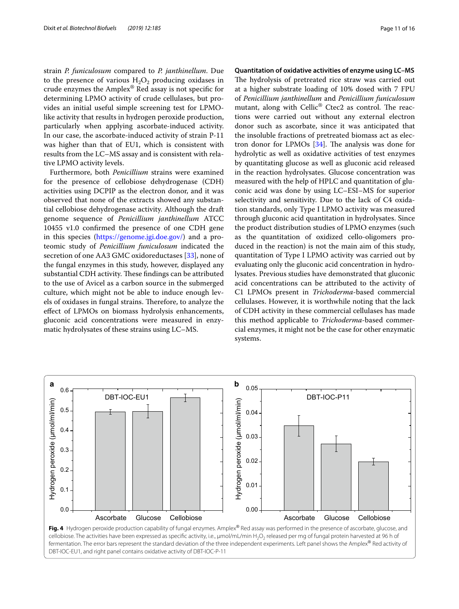strain *P. funiculosum* compared to *P. janthinellum*. Due to the presence of various  $H_2O_2$  producing oxidases in crude enzymes the Amplex® Red assay is not specifc for determining LPMO activity of crude cellulases, but provides an initial useful simple screening test for LPMOlike activity that results in hydrogen peroxide production, particularly when applying ascorbate-induced activity. In our case, the ascorbate-induced activity of strain P-11 was higher than that of EU1, which is consistent with results from the LC–MS assay and is consistent with relative LPMO activity levels.

Furthermore, both *Penicillium* strains were examined for the presence of cellobiose dehydrogenase (CDH) activities using DCPIP as the electron donor, and it was observed that none of the extracts showed any substantial cellobiose dehydrogenase activity. Although the draft genome sequence of *Penicillium janthinellum* ATCC 10455 v1.0 confrmed the presence of one CDH gene in this species (<https://genome.jgi.doe.gov/>) and a proteomic study of *Penicillium funiculosum* indicated the secretion of one AA3 GMC oxidoreductases [\[33](#page-15-28)], none of the fungal enzymes in this study, however, displayed any substantial CDH activity. These findings can be attributed to the use of Avicel as a carbon source in the submerged culture, which might not be able to induce enough levels of oxidases in fungal strains. Therefore, to analyze the efect of LPMOs on biomass hydrolysis enhancements, gluconic acid concentrations were measured in enzymatic hydrolysates of these strains using LC–MS.

#### **Quantitation of oxidative activities of enzyme using LC–MS**

The hydrolysis of pretreated rice straw was carried out at a higher substrate loading of 10% dosed with 7 FPU of *Penicillium janthinellum* and *Penicillium funiculosum* mutant, along with Cellic<sup>®</sup> Ctec2 as control. The reactions were carried out without any external electron donor such as ascorbate, since it was anticipated that the insoluble fractions of pretreated biomass act as electron donor for LPMOs  $[34]$  $[34]$ . The analysis was done for hydrolytic as well as oxidative activities of test enzymes by quantitating glucose as well as gluconic acid released in the reaction hydrolysates. Glucose concentration was measured with the help of HPLC and quantitation of gluconic acid was done by using LC–ESI–MS for superior selectivity and sensitivity. Due to the lack of C4 oxidation standards, only Type I LPMO activity was measured through gluconic acid quantitation in hydrolysates. Since the product distribution studies of LPMO enzymes (such as the quantitation of oxidized cello-oligomers produced in the reaction) is not the main aim of this study, quantitation of Type I LPMO activity was carried out by evaluating only the gluconic acid concentration in hydrolysates. Previous studies have demonstrated that gluconic acid concentrations can be attributed to the activity of C1 LPMOs present in *Trichoderma*-based commercial cellulases. However, it is worthwhile noting that the lack of CDH activity in these commercial cellulases has made this method applicable to *Trichoderma*-based commercial enzymes, it might not be the case for other enzymatic systems.

<span id="page-10-0"></span>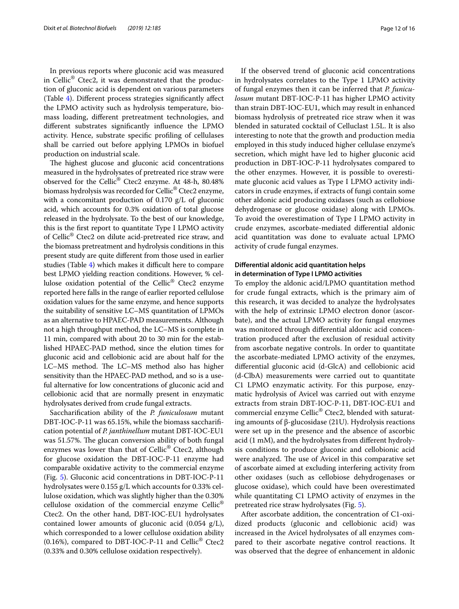In previous reports where gluconic acid was measured in Cellic® Ctec2, it was demonstrated that the production of gluconic acid is dependent on various parameters (Table [4\)](#page-14-1). Diferent process strategies signifcantly afect the LPMO activity such as hydrolysis temperature, biomass loading, diferent pretreatment technologies, and diferent substrates signifcantly infuence the LPMO activity. Hence, substrate specifc profling of cellulases shall be carried out before applying LPMOs in biofuel production on industrial scale.

The highest glucose and gluconic acid concentrations measured in the hydrolysates of pretreated rice straw were observed for the Cellic® Ctec2 enzyme. At 48-h, 80.48% biomass hydrolysis was recorded for Cellic® Ctec2 enzyme, with a concomitant production of 0.170 g/L of gluconic acid, which accounts for 0.3% oxidation of total glucose released in the hydrolysate. To the best of our knowledge, this is the frst report to quantitate Type I LPMO activity of Cellic® Ctec2 on dilute acid-pretreated rice straw, and the biomass pretreatment and hydrolysis conditions in this present study are quite diferent from those used in earlier studies (Table  $4$ ) which makes it difficult here to compare best LPMO yielding reaction conditions. However, % cellulose oxidation potential of the Cellic® Ctec2 enzyme reported here falls in the range of earlier reported cellulose oxidation values for the same enzyme, and hence supports the suitability of sensitive LC–MS quantitation of LPMOs as an alternative to HPAEC-PAD measurements. Although not a high throughput method, the LC–MS is complete in 11 min, compared with about 20 to 30 min for the established HPAEC-PAD method, since the elution times for gluconic acid and cellobionic acid are about half for the LC–MS method. The LC–MS method also has higher sensitivity than the HPAEC-PAD method, and so is a useful alternative for low concentrations of gluconic acid and cellobionic acid that are normally present in enzymatic hydrolysates derived from crude fungal extracts.

Saccharifcation ability of the *P. funiculosum* mutant DBT-IOC-P-11 was 65.15%, while the biomass saccharifcation potential of *P. janthinellum* mutant DBT-IOC-EU1 was 51.57%. The glucan conversion ability of both fungal enzymes was lower than that of Cellic® Ctec2, although for glucose oxidation the DBT-IOC-P-11 enzyme had comparable oxidative activity to the commercial enzyme (Fig. [5\)](#page-12-0). Gluconic acid concentrations in DBT-IOC-P-11 hydrolysates were 0.155 g/L which accounts for 0.33% cellulose oxidation, which was slightly higher than the 0.30% cellulose oxidation of the commercial enzyme Cellic® Ctec2. On the other hand, DBT-IOC-EU1 hydrolysates contained lower amounts of gluconic acid  $(0.054 \text{ g/L})$ , which corresponded to a lower cellulose oxidation ability (0.16%), compared to DBT-IOC-P-11 and Cellic<sup>®</sup> Ctec2 (0.33% and 0.30% cellulose oxidation respectively).

If the observed trend of gluconic acid concentrations in hydrolysates correlates to the Type 1 LPMO activity of fungal enzymes then it can be inferred that *P. funiculosum* mutant DBT-IOC-P-11 has higher LPMO activity than strain DBT-IOC-EU1, which may result in enhanced biomass hydrolysis of pretreated rice straw when it was blended in saturated cocktail of Celluclast 1.5L. It is also interesting to note that the growth and production media employed in this study induced higher cellulase enzyme's secretion, which might have led to higher gluconic acid production in DBT-IOC-P-11 hydrolysates compared to the other enzymes. However, it is possible to overestimate gluconic acid values as Type I LPMO activity indicators in crude enzymes, if extracts of fungi contain some other aldonic acid producing oxidases (such as cellobiose dehydrogenase or glucose oxidase) along with LPMOs. To avoid the overestimation of Type I LPMO activity in crude enzymes, ascorbate-mediated diferential aldonic acid quantitation was done to evaluate actual LPMO activity of crude fungal enzymes.

## **Diferential aldonic acid quantitation helps in determination of Type I LPMO activities**

To employ the aldonic acid/LPMO quantitation method for crude fungal extracts, which is the primary aim of this research, it was decided to analyze the hydrolysates with the help of extrinsic LPMO electron donor (ascorbate), and the actual LPMO activity for fungal enzymes was monitored through diferential aldonic acid concentration produced after the exclusion of residual activity from ascorbate negative controls. In order to quantitate the ascorbate-mediated LPMO activity of the enzymes, diferential gluconic acid (d-GlcA) and cellobionic acid (d-ClbA) measurements were carried out to quantitate C1 LPMO enzymatic activity. For this purpose, enzymatic hydrolysis of Avicel was carried out with enzyme extracts from strain DBT-IOC-P-11, DBT-IOC-EU1 and commercial enzyme Cellic® Ctec2, blended with saturating amounts of β-glucosidase (21U). Hydrolysis reactions were set up in the presence and the absence of ascorbic acid (1 mM), and the hydrolysates from diferent hydrolysis conditions to produce gluconic and cellobionic acid were analyzed. The use of Avicel in this comparative set of ascorbate aimed at excluding interfering activity from other oxidases (such as cellobiose dehydrogenases or glucose oxidase), which could have been overestimated while quantitating C1 LPMO activity of enzymes in the pretreated rice straw hydrolysates (Fig. [5\)](#page-12-0).

After ascorbate addition, the concentration of C1-oxidized products (gluconic and cellobionic acid) was increased in the Avicel hydrolysates of all enzymes compared to their ascorbate negative control reactions. It was observed that the degree of enhancement in aldonic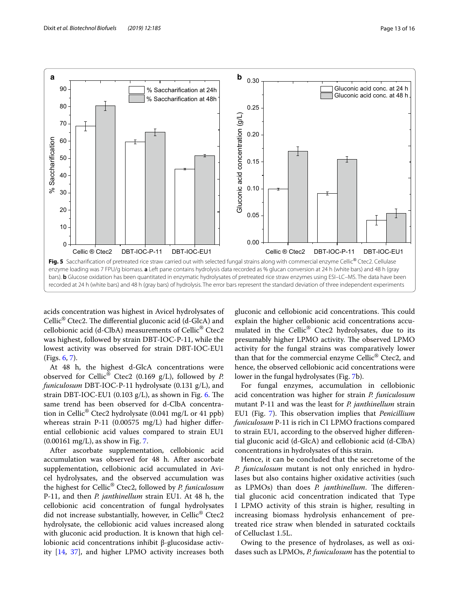



<span id="page-12-0"></span>acids concentration was highest in Avicel hydrolysates of Cellic<sup>®</sup> Ctec2. The differential gluconic acid (d-GlcA) and cellobionic acid (d-ClbA) measurements of Cellic® Ctec2 was highest, followed by strain DBT-IOC-P-11, while the lowest activity was observed for strain DBT-IOC-EU1 (Figs. [6,](#page-13-0) [7](#page-13-1)).

At 48 h, the highest d-GlcA concentrations were observed for Cellic® Ctec2 (0.169 g/L), followed by *P. funiculosum* DBT-IOC-P-11 hydrolysate (0.131 g/L), and strain DBT-IOC-EU1 (0.103  $g/L$ ), as shown in Fig. [6](#page-13-0). The same trend has been observed for d-ClbA concentration in Cellic® Ctec2 hydrolysate (0.041 mg/L or 41 ppb) whereas strain P-11 (0.00575 mg/L) had higher diferential cellobionic acid values compared to strain EU1 (0.00161 mg/L), as show in Fig. [7](#page-13-1).

After ascorbate supplementation, cellobionic acid accumulation was observed for 48 h. After ascorbate supplementation, cellobionic acid accumulated in Avicel hydrolysates, and the observed accumulation was the highest for Cellic® Ctec2, followed by *P. funiculosum* P-11, and then *P. janthinellum* strain EU1. At 48 h, the cellobionic acid concentration of fungal hydrolysates did not increase substantially, however, in Cellic® Ctec2 hydrolysate, the cellobionic acid values increased along with gluconic acid production. It is known that high cellobionic acid concentrations inhibit β-glucosidase activity [[14,](#page-15-11) [37](#page-15-30)], and higher LPMO activity increases both

gluconic and cellobionic acid concentrations. This could explain the higher cellobionic acid concentrations accumulated in the Cellic® Ctec2 hydrolysates, due to its presumably higher LPMO activity. The observed LPMO activity for the fungal strains was comparatively lower than that for the commercial enzyme Cellic<sup>®</sup> Ctec2, and hence, the observed cellobionic acid concentrations were lower in the fungal hydrolysates (Fig. [7b](#page-13-1)).

For fungal enzymes, accumulation in cellobionic acid concentration was higher for strain *P. funiculosum* mutant P-11 and was the least for *P. janthinellum* strain EU1 (Fig. [7\)](#page-13-1). This observation implies that *Penicillium funiculosum* P-11 is rich in C1 LPMO fractions compared to strain EU1, according to the observed higher diferential gluconic acid (d-GlcA) and cellobionic acid (d-ClbA) concentrations in hydrolysates of this strain.

Hence, it can be concluded that the secretome of the *P. funiculosum* mutant is not only enriched in hydrolases but also contains higher oxidative activities (such as LPMOs) than does *P. janthinellum*. The differential gluconic acid concentration indicated that Type I LPMO activity of this strain is higher, resulting in increasing biomass hydrolysis enhancement of pretreated rice straw when blended in saturated cocktails of Celluclast 1.5L.

Owing to the presence of hydrolases, as well as oxidases such as LPMOs, *P. funiculosum* has the potential to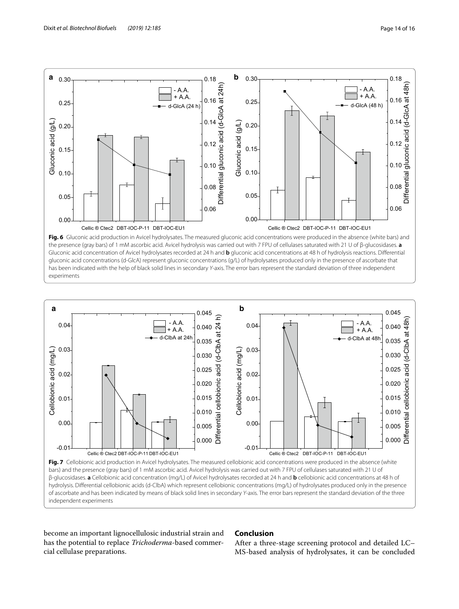

<span id="page-13-0"></span>**Fig. 6** Gluconic acid production in Avicel hydrolysates. The measured gluconic acid concentrations were produced in the absence (white bars) and the presence (gray bars) of 1 mM ascorbic acid. Avicel hydrolysis was carried out with 7 FPU of cellulases saturated with 21 U of β-glucosidases. **a** Gluconic acid concentration of Avicel hydrolysates recorded at 24 h and **b** gluconic acid concentrations at 48 h of hydrolysis reactions. Diferential gluconic acid concentrations (d-GlcA) represent gluconic concentrations (g/L) of hydrolysates produced only in the presence of ascorbate that has been indicated with the help of black solid lines in secondary *Y*-axis. The error bars represent the standard deviation of three independent experiments



<span id="page-13-1"></span>Fig. 7 Cellobionic acid production in Avicel hydrolysates. The measured cellobionic acid concentrations were produced in the absence (white bars) and the presence (gray bars) of 1 mM ascorbic acid. Avicel hydrolysis was carried out with 7 FPU of cellulases saturated with 21 U of β-glucosidases. **a** Cellobionic acid concentration (mg/L) of Avicel hydrolysates recorded at 24 h and **b** cellobionic acid concentrations at 48 h of hydrolysis. Diferential cellobionic acids (d-ClbA) which represent cellobionic concentrations (mg/L) of hydrolysates produced only in the presence of ascorbate and has been indicated by means of black solid lines in secondary *Y*-axis. The error bars represent the standard deviation of the three independent experiments

become an important lignocellulosic industrial strain and has the potential to replace *Trichoderma*-based commercial cellulase preparations.

## **Conclusion**

After a three-stage screening protocol and detailed LC– MS-based analysis of hydrolysates, it can be concluded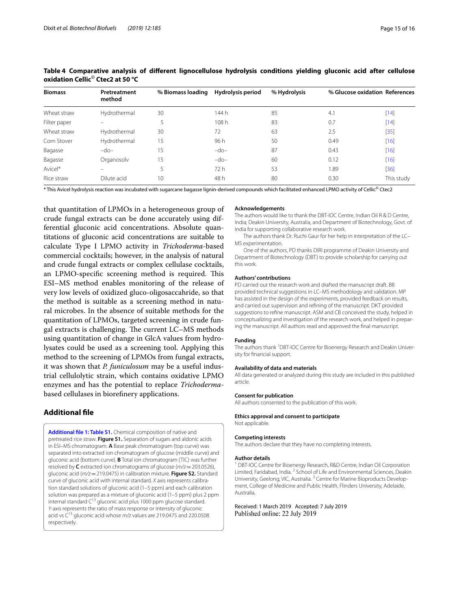| <b>Biomass</b> | Pretreatment<br>method | % Biomass loading Hydrolysis period |        | % Hydrolysis | % Glucose oxidation References |            |
|----------------|------------------------|-------------------------------------|--------|--------------|--------------------------------|------------|
| Wheat straw    | Hydrothermal           | 30                                  | 144 h  | 85           | 4.1                            | [14]       |
| Filter paper   |                        |                                     | 108h   | 83           | 0.7                            | $[14]$     |
| Wheat straw    | Hydrothermal           | 30                                  | 72     | 63           | 2.5                            | $[35]$     |
| Corn Stover    | Hydrothermal           | 15                                  | 96 h   | 50           | 0.49                           | $[16]$     |
| Bagasse        | $-do-$                 | 15                                  | $-do-$ | 87           | 0.43                           | $[16]$     |
| Bagasse        | Organosolv             | 15                                  | $-do-$ | 60           | 0.12                           | $[16]$     |
| Avicel*        |                        | 5.                                  | 72 h   | 53           | 1.89                           | $[36]$     |
| Rice straw     | Dilute acid            | 10 <sup>°</sup>                     | 48 h   | 80           | 0.30                           | This study |

<span id="page-14-1"></span>**Table 4 Comparative analysis of diferent lignocellulose hydrolysis conditions yielding gluconic acid after cellulose oxidation Cellic**® **Ctec2 at 50 °C**

\* This Avicel hydrolysis reaction was incubated with sugarcane bagasse lignin-derived compounds which facilitated enhanced LPMO activity of Cellic® Ctec2

that quantitation of LPMOs in a heterogeneous group of crude fungal extracts can be done accurately using differential gluconic acid concentrations. Absolute quantitations of gluconic acid concentrations are suitable to calculate Type I LPMO activity in *Trichoderma*-based commercial cocktails; however, in the analysis of natural and crude fungal extracts or complex cellulase cocktails, an LPMO-specific screening method is required. This ESI–MS method enables monitoring of the release of very low levels of oxidized gluco-oligosaccahride, so that the method is suitable as a screening method in natural microbes. In the absence of suitable methods for the quantitation of LPMOs, targeted screening in crude fungal extracts is challenging. The current LC-MS methods using quantitation of change in GlcA values from hydrolysates could be used as a screening tool. Applying this method to the screening of LPMOs from fungal extracts, it was shown that *P. funiculosum* may be a useful industrial cellulolytic strain, which contains oxidative LPMO enzymes and has the potential to replace *Trichoderma*based cellulases in biorefnery applications.

## **Additional fle**

<span id="page-14-0"></span>**[Additional fle 1: Table S1.](https://doi.org/10.1186/s13068-019-1526-4)** Chemical composition of native and pretreated rice straw. **Figure S1.** Separation of sugars and aldonic acids in ESI–MS chromatogram. **A** Base peak chromatogram (top curve) was separated into extracted ion chromatogram of glucose (middle curve) and gluconic acid (bottom curve). **B** Total ion chromatogram (TIC) was further resolved by **C** extracted ion chromatograms of glucose (*m/z*=203.0526), gluconic acid (*m/z*=219.0475) in calibration mixture. **Figure S2.** Standard curve of gluconic acid with internal standard. *X* axis represents calibration standard solutions of gluconic acid (1–5 ppm) and each calibration solution was prepared as a mixture of gluconic acid (1–5 ppm) plus 2 ppm internal standard  $C^{13}$  gluconic acid plus 1000 ppm glucose standard. *Y*-axis represents the ratio of mass response or intensity of gluconic acid vs C13 gluconic acid whose *m/z* values are 219.0475 and 220.0508 respectively.

#### **Acknowledgements**

The authors would like to thank the DBT-IOC Centre, Indian Oil R & D Centre, India; Deakin University, Australia, and Department of Biotechnology, Govt. of India for supporting collaborative research work.

The authors thank Dr. Ruchi Gaur for her help in interpretation of the LC– MS experimentation.

One of the authors, PD thanks DIRI programme of Deakin University and Department of Biotechnology (DBT) to provide scholarship for carrying out this work.

#### **Authors' contributions**

PD carried out the research work and drafted the manuscript draft. BB provided technical suggestions in LC–MS methodology and validation. MP has assisted in the design of the experiments, provided feedback on results, and carried out supervision and refning of the manuscript. DKT provided suggestions to refne manuscript. ASM and CB conceived the study, helped in conceptualizing and investigation of the research work, and helped in preparing the manuscript. All authors read and approved the fnal manuscript.

#### **Funding**

The authors thank <sup>1</sup>DBT-IOC Centre for Bioenergy Research and Deakin University for fnancial support.

#### **Availability of data and materials**

All data generated or analyzed during this study are included in this published article.

#### **Consent for publication**

All authors consented to the publication of this work.

#### **Ethics approval and consent to participate**

Not applicable.

#### **Competing interests**

The authors declare that they have no completing interests.

#### **Author details**

<sup>1</sup> DBT-IOC Centre for Bioenergy Research, R&D Centre, Indian Oil Corporation Limited, Faridabad, India. <sup>2</sup> School of Life and Environmental Sciences, Deakin University, Geelong, VIC, Australia. 3 Centre for Marine Bioproducts Development, College of Medicine and Public Health, Flinders University, Adelaide, Australia.

Received: 1 March 2019 Accepted: 7 July 2019 Published online: 22 July 2019